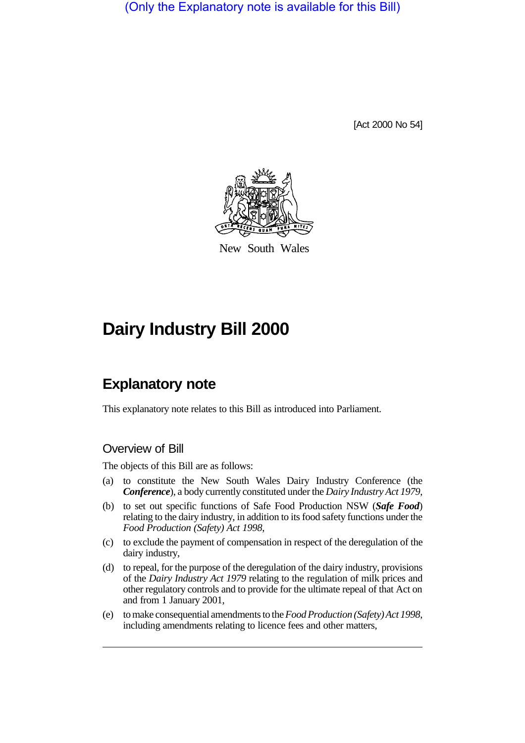(Only the Explanatory note is available for this Bill)

[Act 2000 No 54]



New South Wales

# **Dairy Industry Bill 2000**

## **Explanatory note**

This explanatory note relates to this Bill as introduced into Parliament.

## Overview of Bill

The objects of this Bill are as follows:

- (a) to constitute the New South Wales Dairy Industry Conference (the *Conference*), a body currently constituted under the *Dairy Industry Act 1979*,
- (b) to set out specific functions of Safe Food Production NSW (*Safe Food*) relating to the dairy industry, in addition to its food safety functions under the *Food Production (Safety) Act 1998*,
- (c) to exclude the payment of compensation in respect of the deregulation of the dairy industry,
- (d) to repeal, for the purpose of the deregulation of the dairy industry, provisions of the *Dairy Industry Act 1979* relating to the regulation of milk prices and other regulatory controls and to provide for the ultimate repeal of that Act on and from 1 January 2001,
- (e) to make consequential amendments to the *Food Production (Safety) Act 1998*, including amendments relating to licence fees and other matters,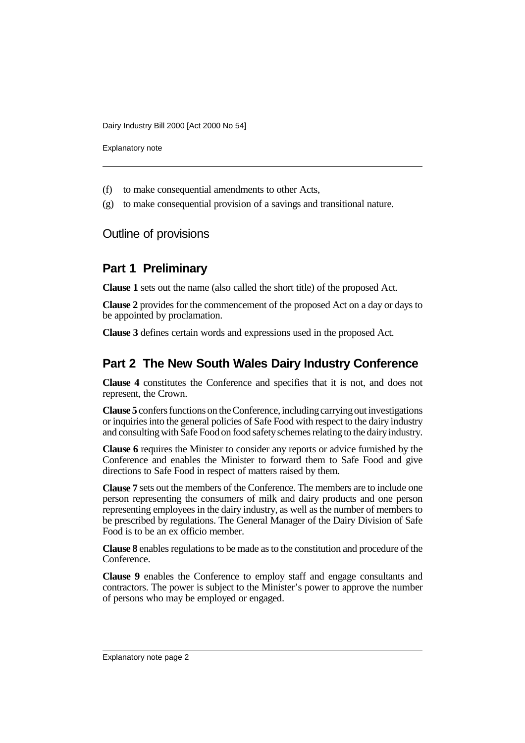Explanatory note

- (f) to make consequential amendments to other Acts,
- (g) to make consequential provision of a savings and transitional nature.

Outline of provisions

#### **Part 1 Preliminary**

**Clause 1** sets out the name (also called the short title) of the proposed Act.

**Clause 2** provides for the commencement of the proposed Act on a day or days to be appointed by proclamation.

**Clause 3** defines certain words and expressions used in the proposed Act.

### **Part 2 The New South Wales Dairy Industry Conference**

**Clause 4** constitutes the Conference and specifies that it is not, and does not represent, the Crown.

**Clause 5** confers functions on the Conference, including carrying out investigations or inquiries into the general policies of Safe Food with respect to the dairy industry and consulting with Safe Food on food safety schemes relating to the dairy industry.

**Clause 6** requires the Minister to consider any reports or advice furnished by the Conference and enables the Minister to forward them to Safe Food and give directions to Safe Food in respect of matters raised by them.

**Clause 7** sets out the members of the Conference. The members are to include one person representing the consumers of milk and dairy products and one person representing employees in the dairy industry, as well as the number of members to be prescribed by regulations. The General Manager of the Dairy Division of Safe Food is to be an ex officio member.

**Clause 8** enables regulations to be made as to the constitution and procedure of the Conference.

**Clause 9** enables the Conference to employ staff and engage consultants and contractors. The power is subject to the Minister's power to approve the number of persons who may be employed or engaged.

Explanatory note page 2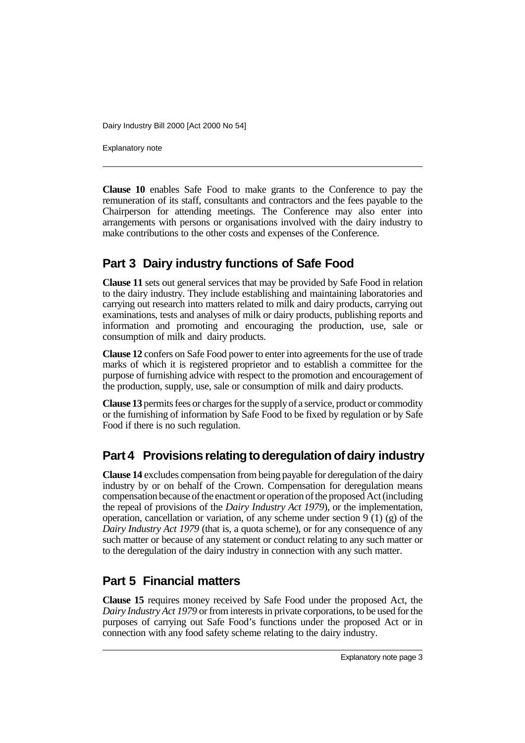Explanatory note

**Clause 10** enables Safe Food to make grants to the Conference to pay the remuneration of its staff, consultants and contractors and the fees payable to the Chairperson for attending meetings. The Conference may also enter into arrangements with persons or organisations involved with the dairy industry to make contributions to the other costs and expenses of the Conference.

## **Part 3 Dairy industry functions of Safe Food**

**Clause 11** sets out general services that may be provided by Safe Food in relation to the dairy industry. They include establishing and maintaining laboratories and carrying out research into matters related to milk and dairy products, carrying out examinations, tests and analyses of milk or dairy products, publishing reports and information and promoting and encouraging the production, use, sale or consumption of milk and dairy products.

**Clause 12** confers on Safe Food power to enter into agreements for the use of trade marks of which it is registered proprietor and to establish a committee for the purpose of furnishing advice with respect to the promotion and encouragement of the production, supply, use, sale or consumption of milk and dairy products.

**Clause 13** permits fees or charges for the supply of a service, product or commodity or the furnishing of information by Safe Food to be fixed by regulation or by Safe Food if there is no such regulation.

## **Part 4 Provisions relating to deregulation of dairy industry**

**Clause 14** excludes compensation from being payable for deregulation of the dairy industry by or on behalf of the Crown. Compensation for deregulation means compensation because of the enactment or operation of the proposed Act (including the repeal of provisions of the *Dairy Industry Act 1979*), or the implementation, operation, cancellation or variation, of any scheme under section  $9(1)(g)$  of the *Dairy Industry Act 1979* (that is, a quota scheme), or for any consequence of any such matter or because of any statement or conduct relating to any such matter or to the deregulation of the dairy industry in connection with any such matter.

## **Part 5 Financial matters**

**Clause 15** requires money received by Safe Food under the proposed Act, the *Dairy Industry Act 1979* or from interests in private corporations, to be used for the purposes of carrying out Safe Food's functions under the proposed Act or in connection with any food safety scheme relating to the dairy industry.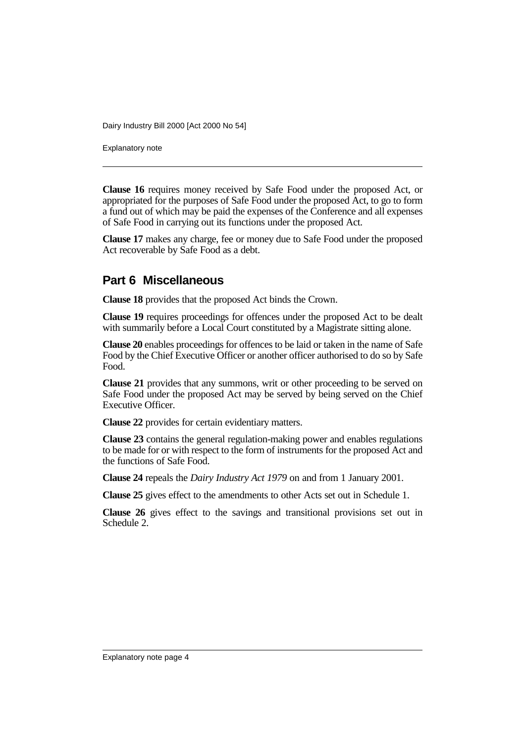Explanatory note

**Clause 16** requires money received by Safe Food under the proposed Act, or appropriated for the purposes of Safe Food under the proposed Act, to go to form a fund out of which may be paid the expenses of the Conference and all expenses of Safe Food in carrying out its functions under the proposed Act.

**Clause 17** makes any charge, fee or money due to Safe Food under the proposed Act recoverable by Safe Food as a debt.

#### **Part 6 Miscellaneous**

**Clause 18** provides that the proposed Act binds the Crown.

**Clause 19** requires proceedings for offences under the proposed Act to be dealt with summarily before a Local Court constituted by a Magistrate sitting alone.

**Clause 20** enables proceedings for offences to be laid or taken in the name of Safe Food by the Chief Executive Officer or another officer authorised to do so by Safe Food.

**Clause 21** provides that any summons, writ or other proceeding to be served on Safe Food under the proposed Act may be served by being served on the Chief Executive Officer.

**Clause 22** provides for certain evidentiary matters.

**Clause 23** contains the general regulation-making power and enables regulations to be made for or with respect to the form of instruments for the proposed Act and the functions of Safe Food.

**Clause 24** repeals the *Dairy Industry Act 1979* on and from 1 January 2001.

**Clause 25** gives effect to the amendments to other Acts set out in Schedule 1.

**Clause 26** gives effect to the savings and transitional provisions set out in Schedule 2.